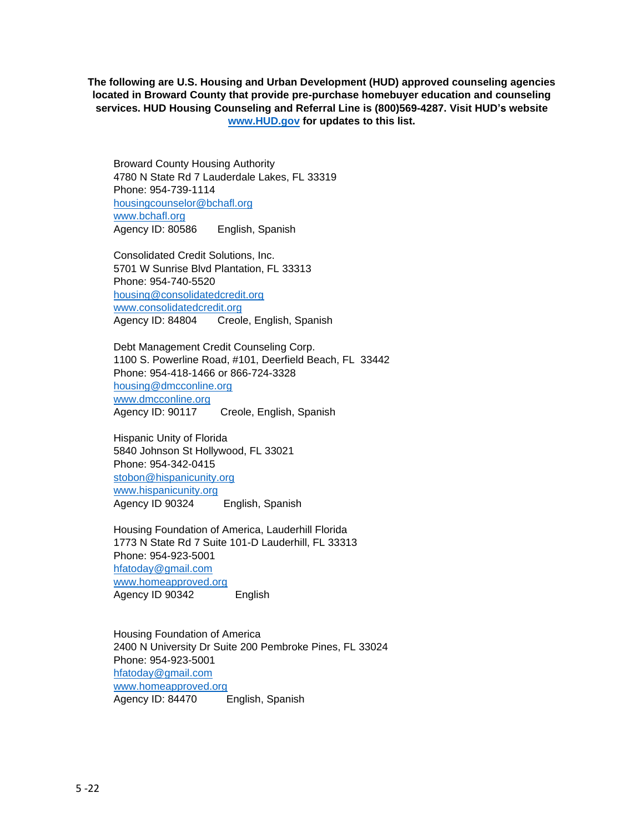**The following are U.S. Housing and Urban Development (HUD) approved counseling agencies located in Broward County that provide pre-purchase homebuyer education and counseling services. HUD Housing Counseling and Referral Line is (800)569-4287. Visit HUD's website [www.HUD.gov](http://www.hud.gov/) for updates to this list.**

Broward County Housing Authority 4780 N State Rd 7 Lauderdale Lakes, FL 33319 Phone: 954-739-1114 [housingcounselor@bchafl.org](mailto:housingcounselor@bchafl.org) [www.bchafl.org](http://www.bchafl.org/) Agency ID: 80586 English, Spanish

Consolidated Credit Solutions, Inc. 5701 W Sunrise Blvd Plantation, FL 33313 Phone: 954-740-5520 [housing@consolidatedcredit.org](mailto:housing@consolidatedcredit.org) [www.consolidatedcredit.org](http://www.consolidatedcredit.org/) Agency ID: 84804 Creole, English, Spanish

Debt Management Credit Counseling Corp. 1100 S. Powerline Road, #101, Deerfield Beach, FL 33442 Phone: 954-418-1466 or 866-724-3328 [housing@dmcconline.org](mailto:housing@dmcconline.org) [www.dmcconline.org](http://www.dmcconline.org/) Agency ID: 90117 Creole, English, Spanish

Hispanic Unity of Florida 5840 Johnson St Hollywood, FL 33021 Phone: 954-342-0415 [stobon@hispanicunity.org](mailto:stobon@hispanicunity.org) [www.hispanicunity.org](http://www.hispanicunity.org/) Agency ID 90324 English, Spanish

Housing Foundation of America, Lauderhill Florida 1773 N State Rd 7 Suite 101-D Lauderhill, FL 33313 Phone: 954-923-5001 [hfatoday@gmail.com](mailto:hfatoday@gmail.com) [www.homeapproved.org](http://www.homeapproved.org/) Agency ID 90342 English

Housing Foundation of America 2400 N University Dr Suite 200 Pembroke Pines, FL 33024 Phone: 954-923-5001 [hfatoday@gmail.com](mailto:hfatoday@gmail.com) [www.homeapproved.org](http://www.homeapproved.org/) Agency ID: 84470 English, Spanish